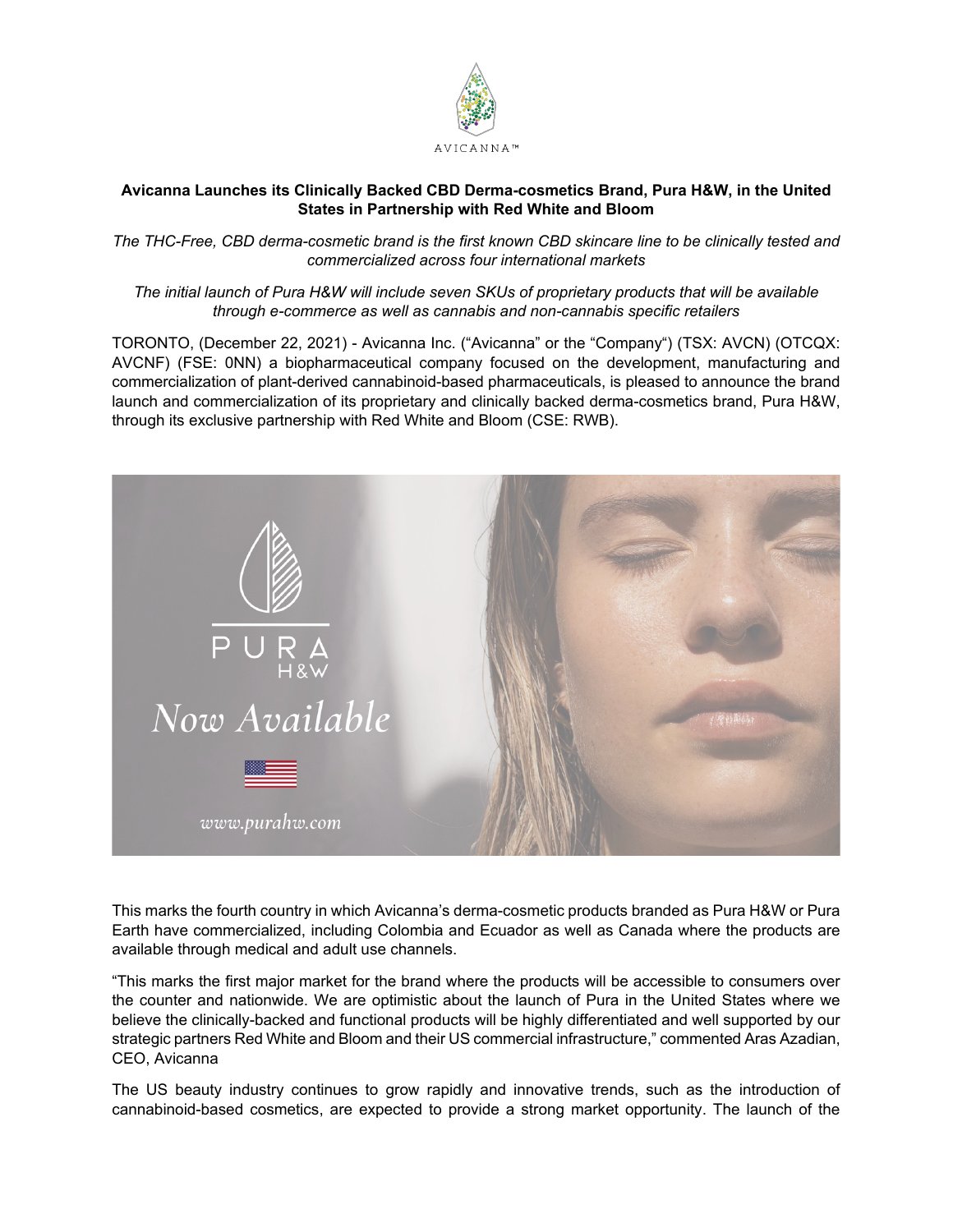

# **Avicanna Launches its Clinically Backed CBD Derma-cosmetics Brand, Pura H&W, in the United States in Partnership with Red White and Bloom**

*The THC-Free, CBD derma-cosmetic brand is the first known CBD skincare line to be clinically tested and commercialized across four international markets* 

# *The initial launch of Pura H&W will include seven SKUs of proprietary products that will be available through e-commerce as well as cannabis and non-cannabis specific retailers*

TORONTO, (December 22, 2021) - Avicanna Inc. ("Avicanna" or the "Company") (TSX: AVCN) (OTCQX: AVCNF) (FSE: 0NN) a biopharmaceutical company focused on the development, manufacturing and commercialization of plant-derived cannabinoid-based pharmaceuticals, is pleased to announce the brand launch and commercialization of its proprietary and clinically backed derma-cosmetics brand, Pura H&W, through its exclusive partnership with Red White and Bloom (CSE: RWB).



This marks the fourth country in which Avicanna's derma-cosmetic products branded as Pura H&W or Pura Earth have commercialized, including Colombia and Ecuador as well as Canada where the products are available through medical and adult use channels.

"This marks the first major market for the brand where the products will be accessible to consumers over the counter and nationwide. We are optimistic about the launch of Pura in the United States where we believe the clinically-backed and functional products will be highly differentiated and well supported by our strategic partners Red White and Bloom and their US commercial infrastructure," commented Aras Azadian, CEO, Avicanna

The US beauty industry continues to grow rapidly and innovative trends, such as the introduction of cannabinoid-based cosmetics, are expected to provide a strong market opportunity. The launch of the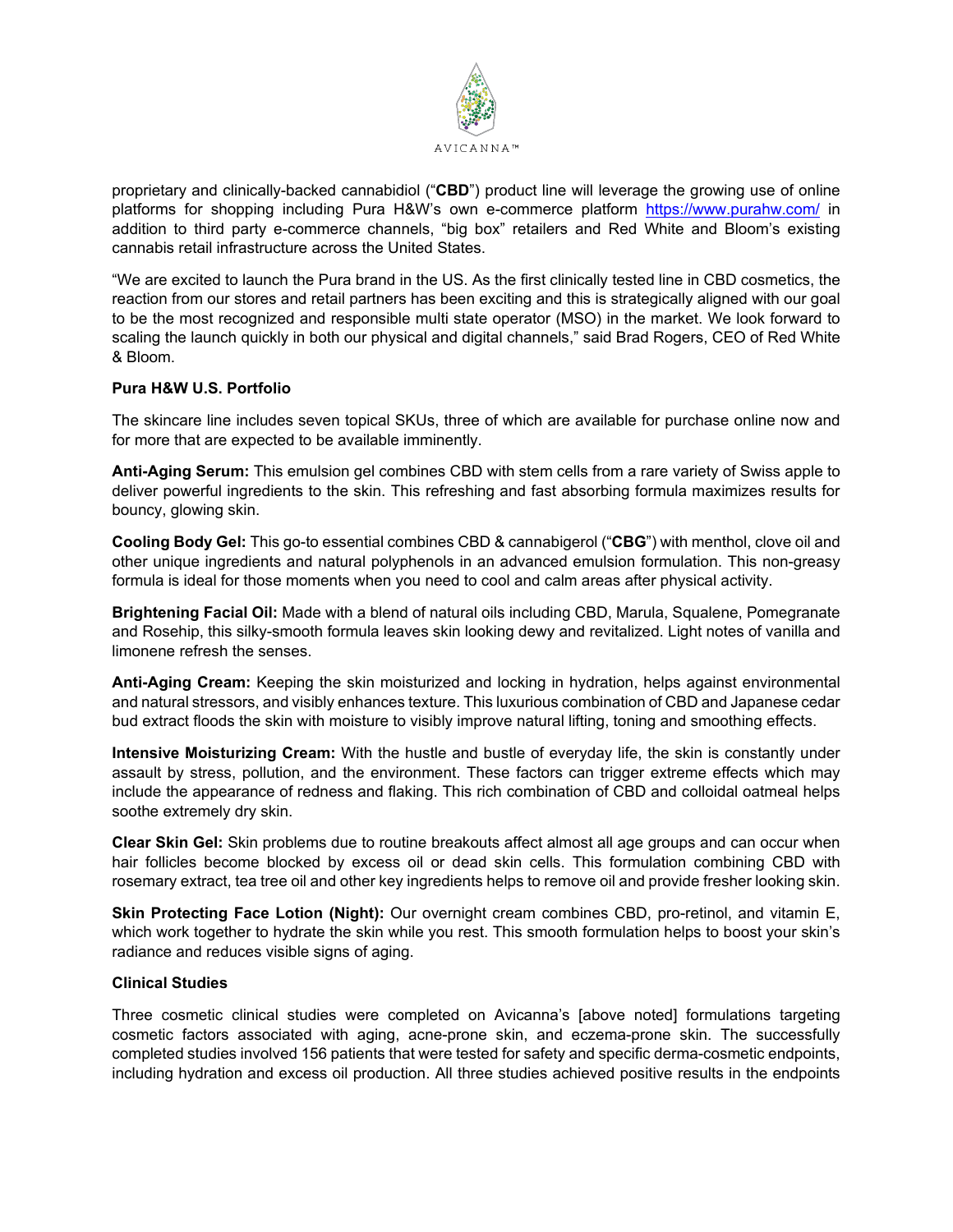

proprietary and clinically-backed cannabidiol ("**CBD**") product line will leverage the growing use of online platforms for shopping including Pura H&W's own e-commerce platform <https://www.purahw.com/> in addition to third party e-commerce channels, "big box" retailers and Red White and Bloom's existing cannabis retail infrastructure across the United States.

"We are excited to launch the Pura brand in the US. As the first clinically tested line in CBD cosmetics, the reaction from our stores and retail partners has been exciting and this is strategically aligned with our goal to be the most recognized and responsible multi state operator (MSO) in the market. We look forward to scaling the launch quickly in both our physical and digital channels," said Brad Rogers, CEO of Red White & Bloom.

## **Pura H&W U.S. Portfolio**

The skincare line includes seven topical SKUs, three of which are available for purchase online now and for more that are expected to be available imminently.

**Anti-Aging Serum:** This emulsion gel combines CBD with stem cells from a rare variety of Swiss apple to deliver powerful ingredients to the skin. This refreshing and fast absorbing formula maximizes results for bouncy, glowing skin.

**Cooling Body Gel:** This go-to essential combines CBD & cannabigerol ("**CBG**") with menthol, clove oil and other unique ingredients and natural polyphenols in an advanced emulsion formulation. This non-greasy formula is ideal for those moments when you need to cool and calm areas after physical activity.

**Brightening Facial Oil:** Made with a blend of natural oils including CBD, Marula, Squalene, Pomegranate and Rosehip, this silky-smooth formula leaves skin looking dewy and revitalized. Light notes of vanilla and limonene refresh the senses.

**Anti-Aging Cream:** Keeping the skin moisturized and locking in hydration, helps against environmental and natural stressors, and visibly enhances texture. This luxurious combination of CBD and Japanese cedar bud extract floods the skin with moisture to visibly improve natural lifting, toning and smoothing effects.

**Intensive Moisturizing Cream:** With the hustle and bustle of everyday life, the skin is constantly under assault by stress, pollution, and the environment. These factors can trigger extreme effects which may include the appearance of redness and flaking. This rich combination of CBD and colloidal oatmeal helps soothe extremely dry skin.

**Clear Skin Gel:** Skin problems due to routine breakouts affect almost all age groups and can occur when hair follicles become blocked by excess oil or dead skin cells. This formulation combining CBD with rosemary extract, tea tree oil and other key ingredients helps to remove oil and provide fresher looking skin.

**Skin Protecting Face Lotion (Night):** Our overnight cream combines CBD, pro-retinol, and vitamin E, which work together to hydrate the skin while you rest. This smooth formulation helps to boost your skin's radiance and reduces visible signs of aging.

#### **Clinical Studies**

Three cosmetic clinical studies were completed on Avicanna's [above noted] formulations targeting cosmetic factors associated with aging, acne-prone skin, and eczema-prone skin. The successfully completed studies involved 156 patients that were tested for safety and specific derma-cosmetic endpoints, including hydration and excess oil production. All three studies achieved positive results in the endpoints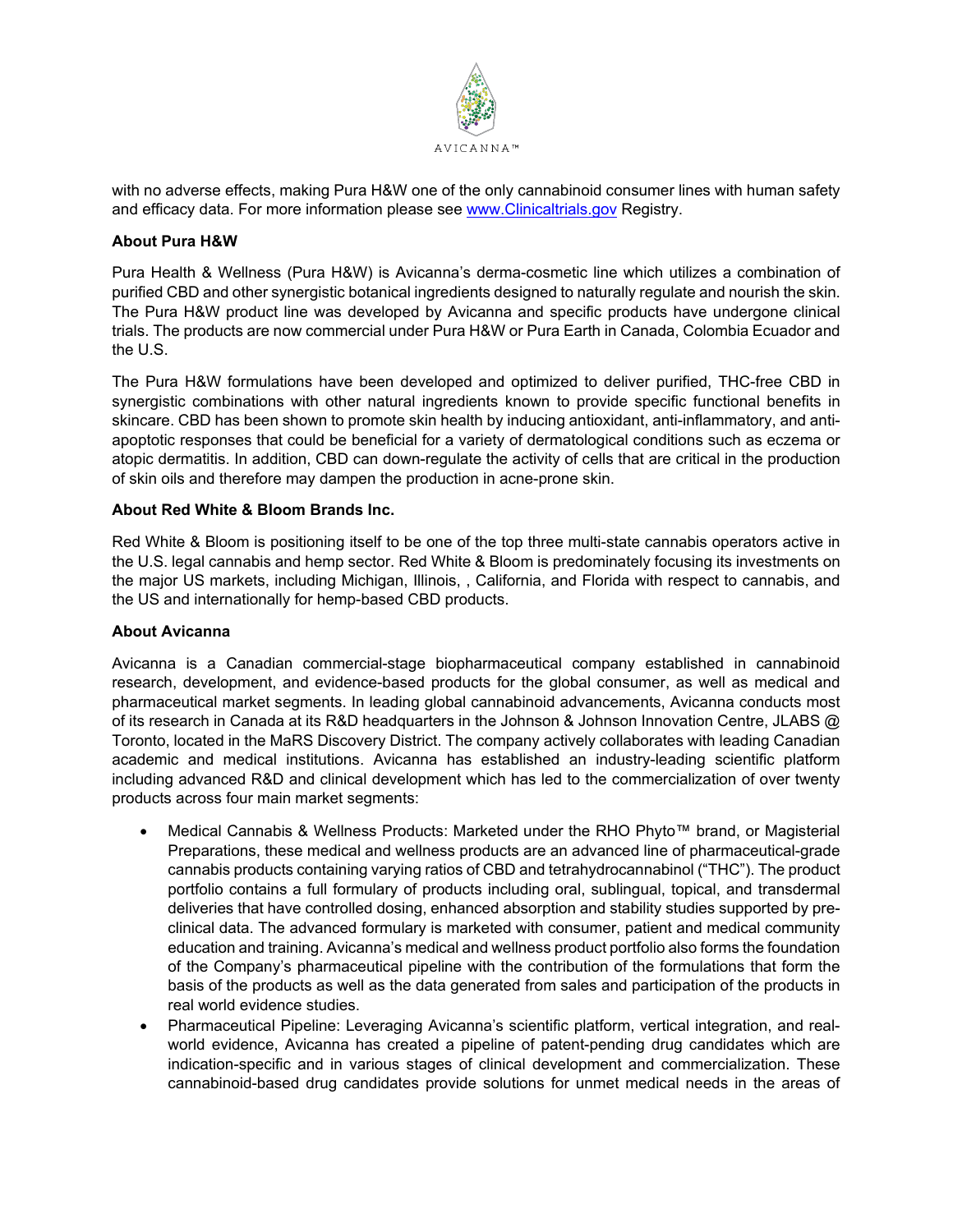

with no adverse effects, making Pura H&W one of the only cannabinoid consumer lines with human safety and efficacy data. For more information please see [www.Clinicaltrials.gov](http://www.clinicaltrials.gov/) Registry.

# **About Pura H&W**

Pura Health & Wellness (Pura H&W) is Avicanna's derma-cosmetic line which utilizes a combination of purified CBD and other synergistic botanical ingredients designed to naturally regulate and nourish the skin. The Pura H&W product line was developed by Avicanna and specific products have undergone clinical trials. The products are now commercial under Pura H&W or Pura Earth in Canada, Colombia Ecuador and the U.S.

The Pura H&W formulations have been developed and optimized to deliver purified, THC-free CBD in synergistic combinations with other natural ingredients known to provide specific functional benefits in skincare. CBD has been shown to promote skin health by inducing antioxidant, anti-inflammatory, and antiapoptotic responses that could be beneficial for a variety of dermatological conditions such as eczema or atopic dermatitis. In addition, CBD can down-regulate the activity of cells that are critical in the production of skin oils and therefore may dampen the production in acne-prone skin.

## **About Red White & Bloom Brands Inc.**

Red White & Bloom is positioning itself to be one of the top three multi-state cannabis operators active in the U.S. legal cannabis and hemp sector. Red White & Bloom is predominately focusing its investments on the major US markets, including Michigan, Illinois, , California, and Florida with respect to cannabis, and the US and internationally for hemp-based CBD products.

## **About Avicanna**

Avicanna is a Canadian commercial-stage biopharmaceutical company established in cannabinoid research, development, and evidence-based products for the global consumer, as well as medical and pharmaceutical market segments. In leading global cannabinoid advancements, Avicanna conducts most of its research in Canada at its R&D headquarters in the Johnson & Johnson Innovation Centre, JLABS @ Toronto, located in the MaRS Discovery District. The company actively collaborates with leading Canadian academic and medical institutions. Avicanna has established an industry-leading scientific platform including advanced R&D and clinical development which has led to the commercialization of over twenty products across four main market segments:

- Medical Cannabis & Wellness Products: Marketed under the RHO Phyto™ brand, or Magisterial Preparations, these medical and wellness products are an advanced line of pharmaceutical-grade cannabis products containing varying ratios of CBD and tetrahydrocannabinol ("THC"). The product portfolio contains a full formulary of products including oral, sublingual, topical, and transdermal deliveries that have controlled dosing, enhanced absorption and stability studies supported by preclinical data. The advanced formulary is marketed with consumer, patient and medical community education and training. Avicanna's medical and wellness product portfolio also forms the foundation of the Company's pharmaceutical pipeline with the contribution of the formulations that form the basis of the products as well as the data generated from sales and participation of the products in real world evidence studies.
- Pharmaceutical Pipeline: Leveraging Avicanna's scientific platform, vertical integration, and realworld evidence, Avicanna has created a pipeline of patent-pending drug candidates which are indication-specific and in various stages of clinical development and commercialization. These cannabinoid-based drug candidates provide solutions for unmet medical needs in the areas of